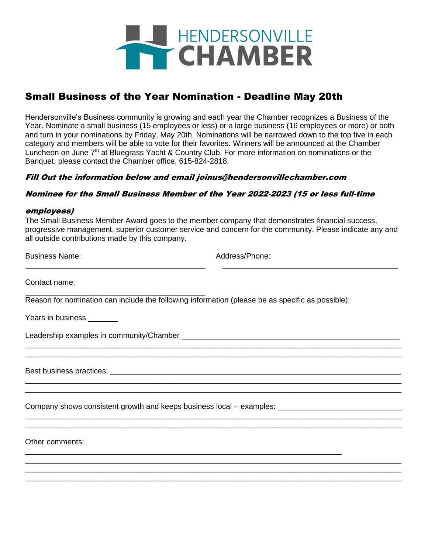

# Small Business of the Year Nomination - Deadline May 20th

Hendersonville's Business community is growing and each year the Chamber recognizes a Business of the Year. Nominate a small business (15 employees or less) or a large business (16 employees or more) or both and turn in your nominations by Friday, May 20th. Nominations will be narrowed down to the top five in each category and members will be able to vote for their favorites. Winners will be announced at the Chamber Luncheon on June 7<sup>th</sup> at Bluegrass Yacht & Country Club. For more information on nominations or the Banquet, please contact the Chamber office, 615-824-2818.

### Fill Out the information below and email joinus@hendersonvillechamber.com

### Nominee for the Small Business Member of the Year 2022-2023 (15 or less full-time

#### employees)

The Small Business Member Award goes to the member company that demonstrates financial success, progressive management, superior customer service and concern for the community. Please indicate any and all outside contributions made by this company.

\_\_\_\_\_\_\_\_\_\_\_\_\_\_\_\_\_\_\_\_\_\_\_\_\_\_\_\_\_\_\_\_\_\_\_\_\_\_\_\_\_\_ \_\_\_\_\_\_\_\_\_\_\_\_\_\_\_\_\_\_\_\_\_\_\_\_\_\_\_\_\_\_\_\_\_\_\_\_\_\_\_\_\_

\_\_\_\_\_\_\_\_\_\_\_\_\_\_\_\_\_\_\_\_\_\_\_\_\_\_\_\_\_\_\_\_\_\_\_\_\_\_\_\_\_\_\_\_\_\_\_\_\_\_\_\_\_\_\_\_\_\_\_\_\_\_\_\_\_\_\_\_\_\_\_\_\_\_\_\_\_\_\_\_\_\_\_\_\_\_\_\_ \_\_\_\_\_\_\_\_\_\_\_\_\_\_\_\_\_\_\_\_\_\_\_\_\_\_\_\_\_\_\_\_\_\_\_\_\_\_\_\_\_\_\_\_\_\_\_\_\_\_\_\_\_\_\_\_\_\_\_\_\_\_\_\_\_\_\_\_\_\_\_\_\_\_\_\_\_\_\_\_\_\_\_\_\_\_\_\_

\_\_\_\_\_\_\_\_\_\_\_\_\_\_\_\_\_\_\_\_\_\_\_\_\_\_\_\_\_\_\_\_\_\_\_\_\_\_\_\_\_\_\_\_\_\_\_\_\_\_\_\_\_\_\_\_\_\_\_\_\_\_\_\_\_\_\_\_\_\_\_\_\_\_\_\_\_\_\_\_\_\_\_\_\_\_\_\_ \_\_\_\_\_\_\_\_\_\_\_\_\_\_\_\_\_\_\_\_\_\_\_\_\_\_\_\_\_\_\_\_\_\_\_\_\_\_\_\_\_\_\_\_\_\_\_\_\_\_\_\_\_\_\_\_\_\_\_\_\_\_\_\_\_\_\_\_\_\_\_\_\_\_\_\_\_\_\_\_\_\_\_\_\_\_\_\_

\_\_\_\_\_\_\_\_\_\_\_\_\_\_\_\_\_\_\_\_\_\_\_\_\_\_\_\_\_\_\_\_\_\_\_\_\_\_\_\_\_\_\_\_\_\_\_\_\_\_\_\_\_\_\_\_\_\_\_\_\_\_\_\_\_\_\_\_\_\_\_\_\_\_\_\_\_\_\_\_\_\_\_\_\_\_\_\_ \_\_\_\_\_\_\_\_\_\_\_\_\_\_\_\_\_\_\_\_\_\_\_\_\_\_\_\_\_\_\_\_\_\_\_\_\_\_\_\_\_\_\_\_\_\_\_\_\_\_\_\_\_\_\_\_\_\_\_\_\_\_\_\_\_\_\_\_\_\_\_\_\_\_\_\_\_\_\_\_\_\_\_\_\_\_\_\_

\_\_\_\_\_\_\_\_\_\_\_\_\_\_\_\_\_\_\_\_\_\_\_\_\_\_\_\_\_\_\_\_\_\_\_\_\_\_\_\_\_\_\_\_\_\_\_\_\_\_\_\_\_\_\_\_\_\_\_\_\_\_\_\_\_\_\_\_\_\_\_\_\_\_\_\_\_\_\_\_\_\_\_\_\_\_\_\_ \_\_\_\_\_\_\_\_\_\_\_\_\_\_\_\_\_\_\_\_\_\_\_\_\_\_\_\_\_\_\_\_\_\_\_\_\_\_\_\_\_\_\_\_\_\_\_\_\_\_\_\_\_\_\_\_\_\_\_\_\_\_\_\_\_\_\_\_\_\_\_\_\_\_\_\_\_\_\_\_\_\_\_\_\_\_\_\_ \_\_\_\_\_\_\_\_\_\_\_\_\_\_\_\_\_\_\_\_\_\_\_\_\_\_\_\_\_\_\_\_\_\_\_\_\_\_\_\_\_\_\_\_\_\_\_\_\_\_\_\_\_\_\_\_\_\_\_\_\_\_\_\_\_\_\_\_\_\_\_\_\_\_\_\_\_\_\_\_\_\_\_\_\_\_\_\_

Business Name: Address/Phone: Address/Phone:

Contact name:

\_\_\_\_\_\_\_\_\_\_\_\_\_\_\_\_\_\_\_\_\_\_\_\_\_\_\_\_\_\_\_\_\_\_\_\_\_\_\_\_\_\_ Reason for nomination can include the following information (please be as specific as possible):

\_\_\_\_\_\_\_\_\_\_\_\_\_\_\_\_\_\_\_\_\_\_\_\_\_\_\_\_\_\_\_\_\_\_\_\_\_\_\_\_\_\_\_\_\_\_\_\_\_\_\_\_\_\_\_\_\_\_\_\_\_\_\_\_\_\_\_\_\_\_\_\_\_\_

Years in business \_\_\_\_\_\_\_

Leadership examples in community/Chamber \_\_\_\_\_\_\_\_\_\_\_\_\_\_\_\_\_\_\_\_\_\_\_\_\_\_\_\_\_\_\_\_\_\_\_\_\_\_\_\_\_\_\_\_\_\_\_\_\_\_\_

Best business practices: \_\_\_\_\_\_\_\_\_\_\_\_\_\_\_\_\_\_\_\_\_\_\_\_\_\_\_\_\_\_\_\_\_\_\_\_\_\_\_\_\_\_\_\_\_\_\_\_\_\_\_\_\_\_\_\_\_\_\_\_\_\_\_\_\_\_\_\_

Company shows consistent growth and keeps business local – examples: \_\_\_\_\_\_\_\_\_\_\_

Other comments: